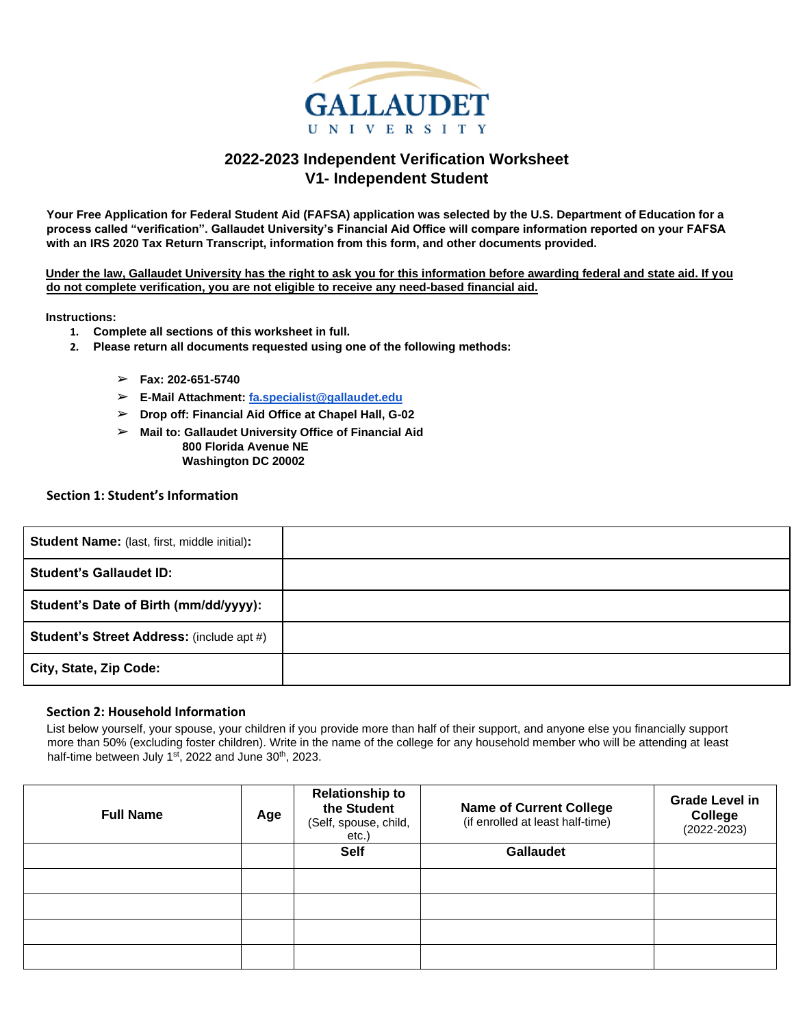

# **2022-2023 Independent Verification Worksheet V1- Independent Student**

**Your Free Application for Federal Student Aid (FAFSA) application was selected by the U.S. Department of Education for a process called "verification". Gallaudet University's Financial Aid Office will compare information reported on your FAFSA with an IRS 2020 Tax Return Transcript, information from this form, and other documents provided.** 

**Under the law, Gallaudet University has the right to ask you for this information before awarding federal and state aid. If you do not complete verification, you are not eligible to receive any need-based financial aid.** 

**Instructions:**

- **1. Complete all sections of this worksheet in full.**
- **2. Please return all documents requested using one of the following methods:**
	- ➢ **Fax: 202-651-5740**
	- ➢ **E-Mail Attachment: fa.specialist@gallaudet.edu**
	- ➢ **Drop off: Financial Aid Office at Chapel Hall, G-02**
	- ➢ **Mail to: Gallaudet University Office of Financial Aid 800 Florida Avenue NE Washington DC 20002**

# **Section 1: Student's Information**

| <b>Student Name:</b> (last, first, middle initial): |  |
|-----------------------------------------------------|--|
| <b>Student's Gallaudet ID:</b>                      |  |
| Student's Date of Birth (mm/dd/yyyy):               |  |
| <b>Student's Street Address: (include apt #)</b>    |  |
| City, State, Zip Code:                              |  |

### **Section 2: Household Information**

List below yourself, your spouse, your children if you provide more than half of their support, and anyone else you financially support more than 50% (excluding foster children). Write in the name of the college for any household member who will be attending at least half-time between July 1<sup>st</sup>, 2022 and June 30<sup>th</sup>, 2023.

| <b>Full Name</b> | Age | <b>Relationship to</b><br>the Student<br>(Self, spouse, child,<br>etc.) | <b>Name of Current College</b><br>(if enrolled at least half-time) | <b>Grade Level in</b><br>College<br>$(2022 - 2023)$ |
|------------------|-----|-------------------------------------------------------------------------|--------------------------------------------------------------------|-----------------------------------------------------|
|                  |     | <b>Self</b>                                                             | <b>Gallaudet</b>                                                   |                                                     |
|                  |     |                                                                         |                                                                    |                                                     |
|                  |     |                                                                         |                                                                    |                                                     |
|                  |     |                                                                         |                                                                    |                                                     |
|                  |     |                                                                         |                                                                    |                                                     |